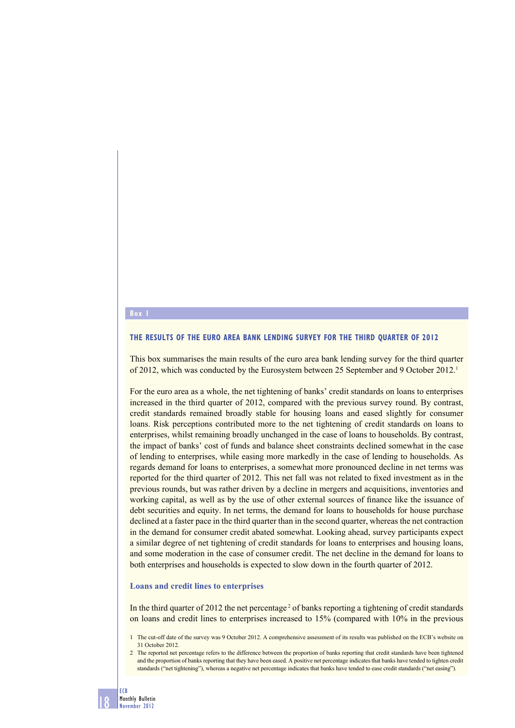#### **Box**

#### **THE RESULTS OF THE EURO AREA BANK LENDING SURVEY FOR THE THIRD QUARTER OF 2012**

This box summarises the main results of the euro area bank lending survey for the third quarter of 2012, which was conducted by the Eurosystem between 25 September and 9 October 2012.1

For the euro area as a whole, the net tightening of banks' credit standards on loans to enterprises increased in the third quarter of 2012, compared with the previous survey round. By contrast, credit standards remained broadly stable for housing loans and eased slightly for consumer loans. Risk perceptions contributed more to the net tightening of credit standards on loans to enterprises, whilst remaining broadly unchanged in the case of loans to households. By contrast, the impact of banks' cost of funds and balance sheet constraints declined somewhat in the case of lending to enterprises, while easing more markedly in the case of lending to households. As regards demand for loans to enterprises, a somewhat more pronounced decline in net terms was reported for the third quarter of 2012. This net fall was not related to fixed investment as in the previous rounds, but was rather driven by a decline in mergers and acquisitions, inventories and working capital, as well as by the use of other external sources of finance like the issuance of debt securities and equity. In net terms, the demand for loans to households for house purchase declined at a faster pace in the third quarter than in the second quarter, whereas the net contraction in the demand for consumer credit abated somewhat. Looking ahead, survey participants expect a similar degree of net tightening of credit standards for loans to enterprises and housing loans, and some moderation in the case of consumer credit. The net decline in the demand for loans to both enterprises and households is expected to slow down in the fourth quarter of 2012.

#### **Loans and credit lines to enterprises**

In the third quarter of 2012 the net percentage<sup>2</sup> of banks reporting a tightening of credit standards on loans and credit lines to enterprises increased to 15% (compared with 10% in the previous

<sup>1</sup> The cut-off date of the survey was 9 October 2012. A comprehensive assessment of its results was published on the ECB's website on 31 October 2012.

<sup>2</sup> The reported net percentage refers to the difference between the proportion of banks reporting that credit standards have been tightened and the proportion of banks reporting that they have been eased. A positive net percentage indicates that banks have tended to tighten credit standards ("net tightening"), whereas a negative net percentage indicates that banks have tended to ease credit standards ("net easing").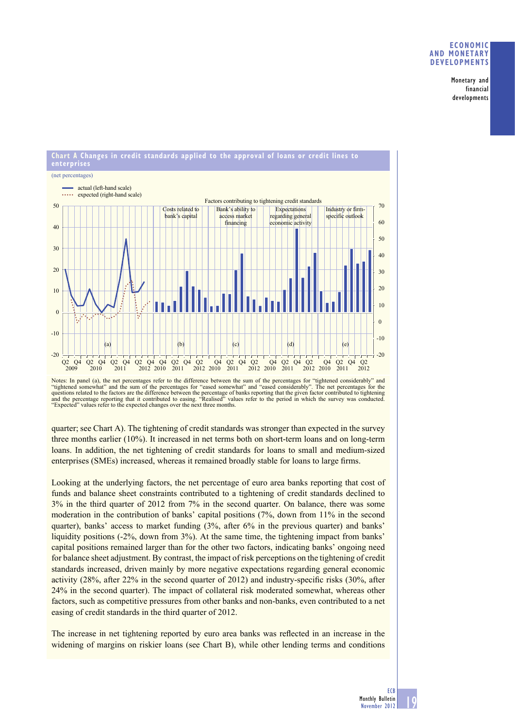Monetary and financial developments





quarter; see Chart A). The tightening of credit standards was stronger than expected in the survey three months earlier (10%). It increased in net terms both on short-term loans and on long-term loans. In addition, the net tightening of credit standards for loans to small and medium-sized enterprises (SMEs) increased, whereas it remained broadly stable for loans to large firms.

Looking at the underlying factors, the net percentage of euro area banks reporting that cost of funds and balance sheet constraints contributed to a tightening of credit standards declined to 3% in the third quarter of 2012 from 7% in the second quarter. On balance, there was some moderation in the contribution of banks' capital positions (7%, down from 11% in the second quarter), banks' access to market funding (3%, after 6% in the previous quarter) and banks' liquidity positions (-2%, down from 3%). At the same time, the tightening impact from banks' capital positions remained larger than for the other two factors, indicating banks' ongoing need for balance sheet adjustment. By contrast, the impact of risk perceptions on the tightening of credit standards increased, driven mainly by more negative expectations regarding general economic activity  $(28\%$ , after  $22\%$  in the second quarter of 2012) and industry-specific risks  $(30\%$ , after 24% in the second quarter). The impact of collateral risk moderated somewhat, whereas other factors, such as competitive pressures from other banks and non-banks, even contributed to a net easing of credit standards in the third quarter of 2012.

The increase in net tightening reported by euro area banks was reflected in an increase in the widening of margins on riskier loans (see Chart B), while other lending terms and conditions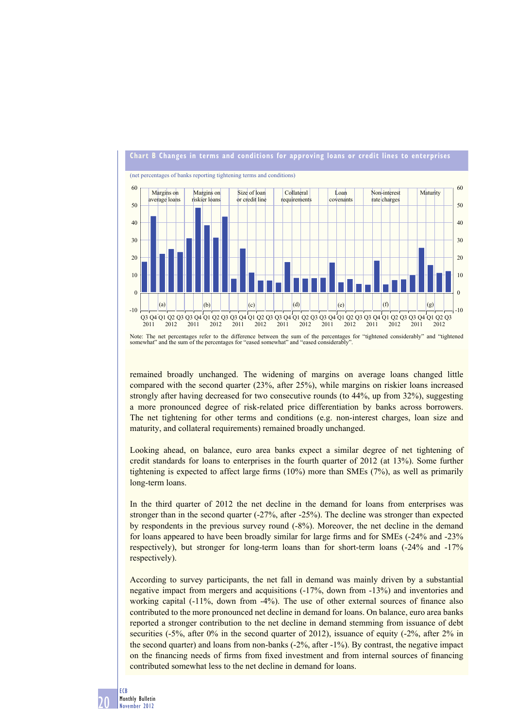

Note: The net percentages refer to the difference between the sum of the percentages for "tightened considerably" and "tightened somewhat" and the sum of the percentages for "eased somewhat" and "eased considerably".

remained broadly unchanged. The widening of margins on average loans changed little compared with the second quarter (23%, after 25%), while margins on riskier loans increased strongly after having decreased for two consecutive rounds (to 44%, up from 32%), suggesting a more pronounced degree of risk-related price differentiation by banks across borrowers. The net tightening for other terms and conditions (e.g. non-interest charges, loan size and maturity, and collateral requirements) remained broadly unchanged.

Looking ahead, on balance, euro area banks expect a similar degree of net tightening of credit standards for loans to enterprises in the fourth quarter of 2012 (at 13%). Some further tightening is expected to affect large firms  $(10%)$  more than SMEs  $(7%)$ , as well as primarily long-term loans.

In the third quarter of 2012 the net decline in the demand for loans from enterprises was stronger than in the second quarter (-27%, after -25%). The decline was stronger than expected by respondents in the previous survey round (-8%). Moreover, the net decline in the demand for loans appeared to have been broadly similar for large firms and for SMEs  $(-24\% \text{ and } -23\%)$ respectively), but stronger for long-term loans than for short-term loans (-24% and -17% respectively).

According to survey participants, the net fall in demand was mainly driven by a substantial negative impact from mergers and acquisitions (-17%, down from -13%) and inventories and working capital  $(-11)$ %, down from  $-4\%$ ). The use of other external sources of finance also contributed to the more pronounced net decline in demand for loans. On balance, euro area banks reported a stronger contribution to the net decline in demand stemming from issuance of debt securities (-5%, after 0% in the second quarter of 2012), issuance of equity (-2%, after 2% in the second quarter) and loans from non-banks (-2%, after -1%). By contrast, the negative impact on the financing needs of firms from fixed investment and from internal sources of financing contributed somewhat less to the net decline in demand for loans.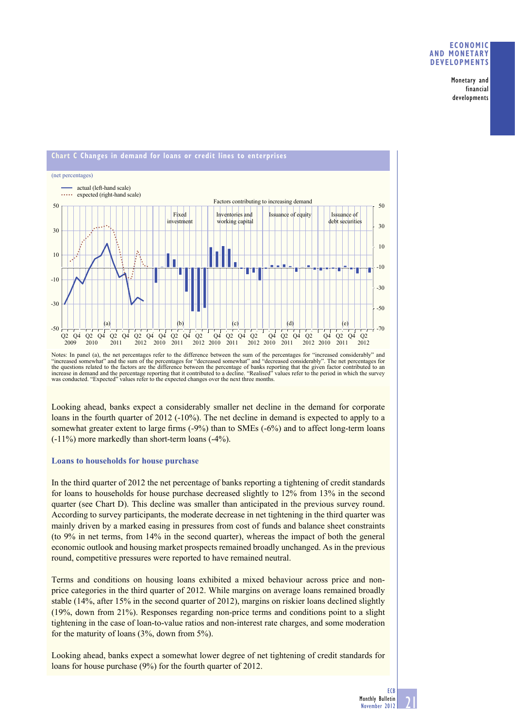Monetary and financial developments



Notes: In panel (a), the net percentages refer to the difference between the sum of the percentages for "increased considerably" and "increased somewhat" and the sum of the percentages for "decreased somewhat" and "decreased considerably". The net percentages for the questions related to the factors are the difference between the percentage of banks reporting that the given factor contributed to an increase in demand and the percentage reporting that it contributed to a decline. "R was conducted. "Expected" values refer to the expected changes over the next three months.

Looking ahead, banks expect a considerably smaller net decline in the demand for corporate loans in the fourth quarter of 2012 (-10%). The net decline in demand is expected to apply to a somewhat greater extent to large firms  $(-9%)$  than to SMEs  $(-6%)$  and to affect long-term loans (-11%) more markedly than short-term loans (-4%).

## **Loans to households for house purchase**

In the third quarter of 2012 the net percentage of banks reporting a tightening of credit standards for loans to households for house purchase decreased slightly to 12% from 13% in the second quarter (see Chart D). This decline was smaller than anticipated in the previous survey round. According to survey participants, the moderate decrease in net tightening in the third quarter was mainly driven by a marked easing in pressures from cost of funds and balance sheet constraints (to 9% in net terms, from 14% in the second quarter), whereas the impact of both the general economic outlook and housing market prospects remained broadly unchanged. As in the previous round, competitive pressures were reported to have remained neutral.

Terms and conditions on housing loans exhibited a mixed behaviour across price and nonprice categories in the third quarter of 2012. While margins on average loans remained broadly stable (14%, after 15% in the second quarter of 2012), margins on riskier loans declined slightly (19%, down from 21%). Responses regarding non-price terms and conditions point to a slight tightening in the case of loan-to-value ratios and non-interest rate charges, and some moderation for the maturity of loans (3%, down from 5%).

Looking ahead, banks expect a somewhat lower degree of net tightening of credit standards for loans for house purchase (9%) for the fourth quarter of 2012.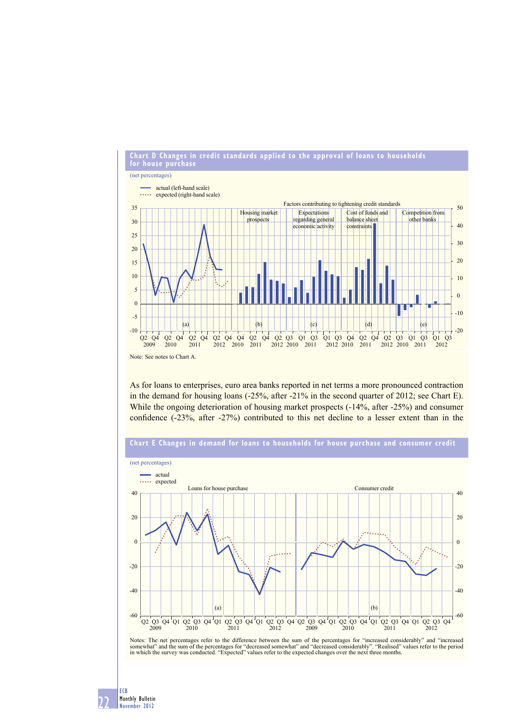

As for loans to enterprises, euro area banks reported in net terms a more pronounced contraction in the demand for housing loans (-25%, after -21% in the second quarter of 2012; see Chart E). While the ongoing deterioration of housing market prospects (-14%, after -25%) and consumer confidence (-23%, after -27%) contributed to this net decline to a lesser extent than in the

## **Chart E Changes in demand for loans to households for house purchase and consumer credit**



Notes: The net percentages refer to the difference between the sum of the percentages for "increased considerably" and "increased<br>somewhat" and the sum of the percentages for "decreased somewhat" and "decreased considerabl

22 ECB Monthly Bulletin November 2012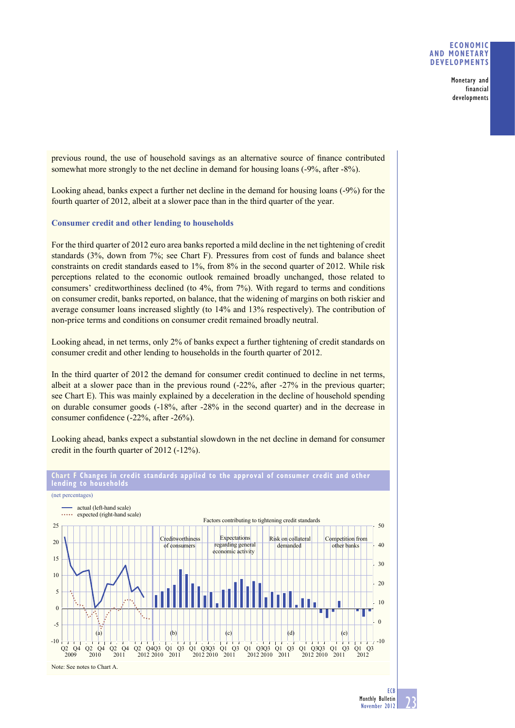Monetary and financial developments

previous round, the use of household savings as an alternative source of finance contributed somewhat more strongly to the net decline in demand for housing loans (-9%, after -8%).

Looking ahead, banks expect a further net decline in the demand for housing loans (-9%) for the fourth quarter of 2012, albeit at a slower pace than in the third quarter of the year.

## **Consumer credit and other lending to households**

For the third quarter of 2012 euro area banks reported a mild decline in the net tightening of credit standards (3%, down from 7%; see Chart F). Pressures from cost of funds and balance sheet constraints on credit standards eased to 1%, from 8% in the second quarter of 2012. While risk perceptions related to the economic outlook remained broadly unchanged, those related to consumers' creditworthiness declined (to 4%, from 7%). With regard to terms and conditions on consumer credit, banks reported, on balance, that the widening of margins on both riskier and average consumer loans increased slightly (to 14% and 13% respectively). The contribution of non-price terms and conditions on consumer credit remained broadly neutral.

Looking ahead, in net terms, only 2% of banks expect a further tightening of credit standards on consumer credit and other lending to households in the fourth quarter of 2012.

In the third quarter of 2012 the demand for consumer credit continued to decline in net terms, albeit at a slower pace than in the previous round (-22%, after -27% in the previous quarter; see Chart E). This was mainly explained by a deceleration in the decline of household spending on durable consumer goods (-18%, after -28% in the second quarter) and in the decrease in consumer confidence  $(-22\%, \text{ after } -26\%).$ 

Looking ahead, banks expect a substantial slowdown in the net decline in demand for consumer credit in the fourth quarter of 2012 (-12%).



**Chart F Changes in credit standards applied to the approval of consumer credit and other**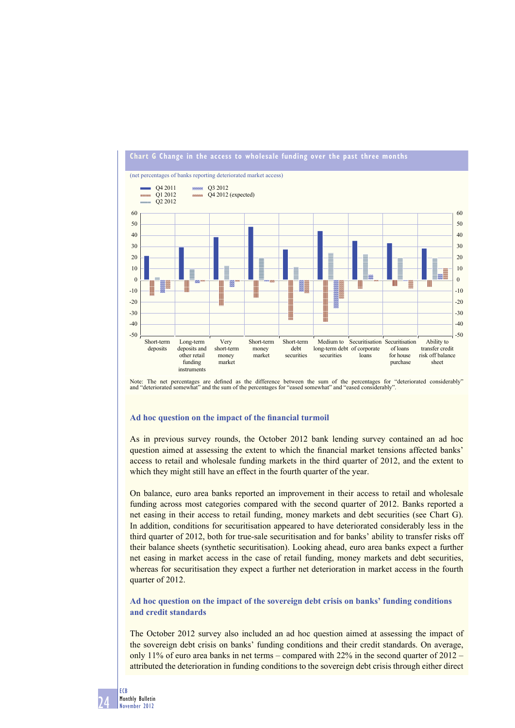

# **Chart G Change in the access to wholesale funding over the past three months**

Note: The net percentages are defined as the difference between the sum of the percentages for "deteriorated considerably" and "deteriorated somewhat" and the sum of the percentages for "eased somewhat" and "eased considerably".

## Ad hoc question on the impact of the financial turmoil

As in previous survey rounds, the October 2012 bank lending survey contained an ad hoc question aimed at assessing the extent to which the financial market tensions affected banks' access to retail and wholesale funding markets in the third quarter of 2012, and the extent to which they might still have an effect in the fourth quarter of the year.

On balance, euro area banks reported an improvement in their access to retail and wholesale funding across most categories compared with the second quarter of 2012. Banks reported a net easing in their access to retail funding, money markets and debt securities (see Chart G). In addition, conditions for securitisation appeared to have deteriorated considerably less in the third quarter of 2012, both for true-sale securitisation and for banks' ability to transfer risks off their balance sheets (synthetic securitisation). Looking ahead, euro area banks expect a further net easing in market access in the case of retail funding, money markets and debt securities, whereas for securitisation they expect a further net deterioration in market access in the fourth quarter of 2012.

**Ad hoc question on the impact of the sovereign debt crisis on banks' funding conditions and credit standards**

The October 2012 survey also included an ad hoc question aimed at assessing the impact of the sovereign debt crisis on banks' funding conditions and their credit standards. On average, only 11% of euro area banks in net terms – compared with 22% in the second quarter of  $2012$  – attributed the deterioration in funding conditions to the sovereign debt crisis through either direct